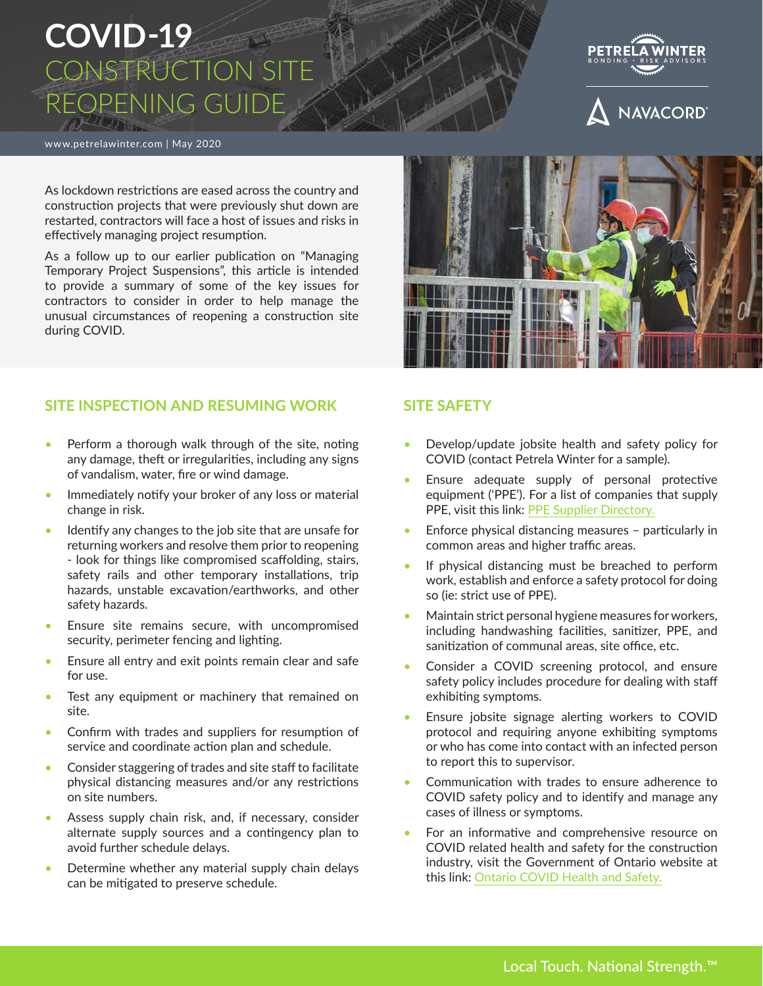# **COVID-19** CONSTRUCTION SITE REOPENING GUID

www.petrelawinter.com | May 2020

As lockdown restrictions are eased across the country and construction projects that were previously shut down are restarted, contractors will face a host of issues and risks in effectively managing project resumption.

As a follow up to our earlier publication on "Managing Temporary Project Suspensions", this article is intended to provide a summary of some of the key issues for contractors to consider in order to help manage the unusual circumstances of reopening a construction site during COVID.

#### **SITE INSPECTION AND RESUMING WORK**

- Perform a thorough walk through of the site, noting any damage, theft or irregularities, including any signs of vandalism, water, fire or wind damage.
- Immediately notify your broker of any loss or material change in risk.
- Identify any changes to the job site that are unsafe for returning workers and resolve them prior to reopening - look for things like compromised scaffolding, stairs, safety rails and other temporary installations, trip hazards, unstable excavation/earthworks, and other safety hazards.
- Ensure site remains secure, with uncompromised security, perimeter fencing and lighting.
- Ensure all entry and exit points remain clear and safe for use.
- Test any equipment or machinery that remained on site.
- Confirm with trades and suppliers for resumption of service and coordinate action plan and schedule.
- Consider staggering of trades and site staff to facilitate physical distancing measures and/or any restrictions on site numbers.
- Assess supply chain risk, and, if necessary, consider alternate supply sources and a contingency plan to avoid further schedule delays.
- Determine whether any material supply chain delays can be mitigated to preserve schedule.

#### **SITE SAFETY**

- Develop/update jobsite health and safety policy for COVID (contact Petrela Winter for a sample).
- Ensure adequate supply of personal protective equipment ('PPE'). For a list of companies that supply PPE, visit this link: [PPE Supplier Directory.](https://covid-19.ontario.ca/workplace-ppe-supplier-directory#no-back)
- Enforce physical distancing measures particularly in common areas and higher traffic areas.
- If physical distancing must be breached to perform work, establish and enforce a safety protocol for doing so (ie: strict use of PPE).
- Maintain strict personal hygiene measures for workers, including handwashing facilities, sanitizer, PPE, and sanitization of communal areas, site office, etc.
- Consider a COVID screening protocol, and ensure safety policy includes procedure for dealing with staff exhibiting symptoms.
- Ensure jobsite signage alerting workers to COVID protocol and requiring anyone exhibiting symptoms or who has come into contact with an infected person to report this to supervisor.
- Communication with trades to ensure adherence to COVID safety policy and to identify and manage any cases of illness or symptoms.
- For an informative and comprehensive resource on COVID related health and safety for the construction industry, visit the Government of Ontario website at this link: [Ontario COVID Health and Safety.](https://www.ontario.ca/page/resources-prevent-covid-19-workplace#section-2)